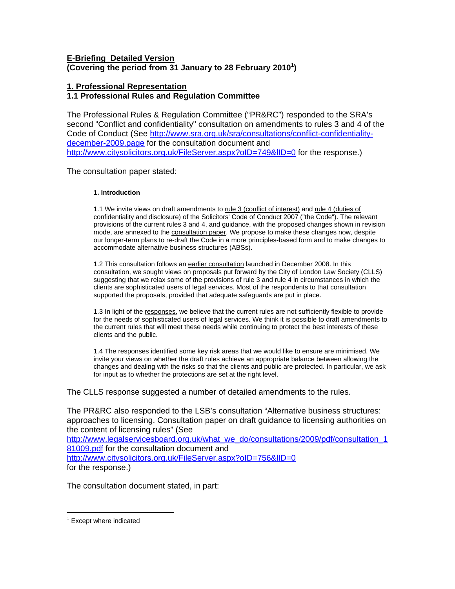## **E-Briefing Detailed Version (Covering the period from 31 January to 28 February 2010[1](#page-0-0) )**

# **1. Professional Representation**

# **1.1 Professional Rules and Regulation Committee**

The Professional Rules & Regulation Committee ("PR&RC") responded to the SRA's second "Conflict and confidentiality" consultation on amendments to rules 3 and 4 of the Code of Conduct (See [http://www.sra.org.uk/sra/consultations/conflict-confidentiality](http://www.sra.org.uk/sra/consultations/conflict-confidentiality-december-2009.page)[december-2009.page](http://www.sra.org.uk/sra/consultations/conflict-confidentiality-december-2009.page) for the consultation document and http://www.citysolicitors.org.uk/FileServer.aspx?oID=749&IID=0 for the response.)

The consultation paper stated:

## **1. Introduction**

1.1 We invite views on draft amendments to [rule 3 \(conflict of interest\)](http://www.sra.org.uk/rule3) and rule 4 (duties of [confidentiality and disclosure\)](http://www.sra.org.uk/rule4) of the Solicitors' Code of Conduct 2007 ("the Code"). The relevant provisions of the current rules 3 and 4, and guidance, with the proposed changes shown in revision mode, are annexed to the **consultation paper**. We propose to make these changes now, despite our longer-term plans to re-draft the Code in a more principles-based form and to make changes to accommodate alternative business structures (ABSs).

1.2 This consultation follows an [earlier consultation](http://www.sra.org.uk/sra/consultations/conflict-confidentiality-rules-proposed-amendments-december-2008.page) launched in December 2008. In this consultation, we sought views on proposals put forward by the City of London Law Society (CLLS) suggesting that we relax some of the provisions of rule 3 and rule 4 in circumstances in which the clients are sophisticated users of legal services. Most of the respondents to that consultation supported the proposals, provided that adequate safeguards are put in place.

1.3 In light of the responses, we believe that the current rules are not sufficiently flexible to provide for the needs of sophisticated users of legal services. We think it is possible to draft amendments to the current rules that will meet these needs while continuing to protect the best interests of these clients and the public.

1.4 The responses identified some key risk areas that we would like to ensure are minimised. We invite your views on whether the draft rules achieve an appropriate balance between allowing the changes and dealing with the risks so that the clients and public are protected. In particular, we ask for input as to whether the protections are set at the right level.

The CLLS response suggested a number of detailed amendments to the rules.

The PR&RC also responded to the LSB's consultation "Alternative business structures: approaches to licensing. Consultation paper on draft guidance to licensing authorities on the content of licensing rules" (See

[http://www.legalservicesboard.org.uk/what\\_we\\_do/consultations/2009/pdf/consultation\\_1](http://www.legalservicesboard.org.uk/what_we_do/consultations/2009/pdf/consultation_181009.pdf) [81009.pdf](http://www.legalservicesboard.org.uk/what_we_do/consultations/2009/pdf/consultation_181009.pdf) for the consultation document and http://www.citysolicitors.org.uk/FileServer.aspx?oID=756&IID=0 for the response.)

The consultation document stated, in part:

 $\overline{a}$ 

<span id="page-0-0"></span> $1$  Except where indicated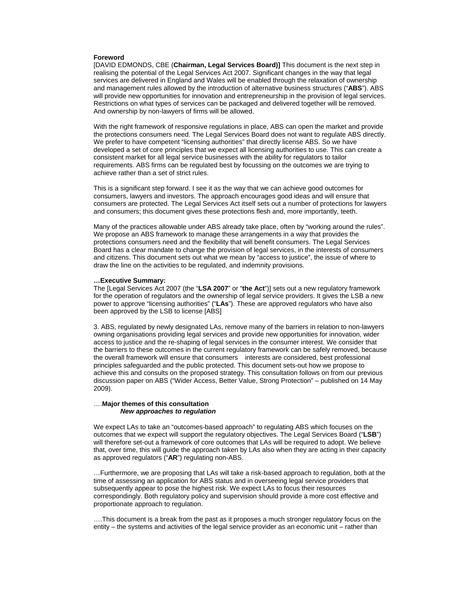#### **Foreword**

[DAVID EDMONDS, CBE (**Chairman, Legal Services Board)]** This document is the next step in realising the potential of the Legal Services Act 2007. Significant changes in the way that legal services are delivered in England and Wales will be enabled through the relaxation of ownership and management rules allowed by the introduction of alternative business structures ("**ABS**"). ABS will provide new opportunities for innovation and entrepreneurship in the provision of legal services. Restrictions on what types of services can be packaged and delivered together will be removed. And ownership by non-lawyers of firms will be allowed.

With the right framework of responsive regulations in place, ABS can open the market and provide the protections consumers need. The Legal Services Board does not want to regulate ABS directly. We prefer to have competent "licensing authorities" that directly license ABS. So we have developed a set of core principles that we expect all licensing authorities to use. This can create a consistent market for all legal service businesses with the ability for regulators to tailor requirements. ABS firms can be regulated best by focussing on the outcomes we are trying to achieve rather than a set of strict rules.

This is a significant step forward. I see it as the way that we can achieve good outcomes for consumers, lawyers and investors. The approach encourages good ideas and will ensure that consumers are protected. The Legal Services Act itself sets out a number of protections for lawyers and consumers; this document gives these protections flesh and, more importantly, teeth.

Many of the practices allowable under ABS already take place, often by "working around the rules". We propose an ABS framework to manage these arrangements in a way that provides the protections consumers need and the flexibility that will benefit consumers. The Legal Services Board has a clear mandate to change the provision of legal services, in the interests of consumers and citizens. This document sets out what we mean by "access to justice", the issue of where to draw the line on the activities to be regulated, and indemnity provisions.

#### **…Executive Summary:**

The [Legal Services Act 2007 (the "**LSA 2007**" or "**the Act**")] sets out a new regulatory framework for the operation of regulators and the ownership of legal service providers. It gives the LSB a new power to approve "licensing authorities" ("**LAs**"). These are approved regulators who have also been approved by the LSB to license [ABS]

3. ABS, regulated by newly designated LAs, remove many of the barriers in relation to non-lawyers owning organisations providing legal services and provide new opportunities for innovation, wider access to justice and the re-shaping of legal services in the consumer interest. We consider that the barriers to these outcomes in the current regulatory framework can be safely removed, because the overall framework will ensure that consumers interests are considered, best professional principles safeguarded and the public protected. This document sets-out how we propose to achieve this and consults on the proposed strategy. This consultation follows on from our previous discussion paper on ABS ("Wider Access, Better Value, Strong Protection" – published on 14 May 2009).

#### ….**Major themes of this consultation**  *New approaches to regulation*

We expect LAs to take an "outcomes-based approach" to regulating ABS which focuses on the outcomes that we expect will support the regulatory objectives. The Legal Services Board ("**LSB**") will therefore set-out a framework of core outcomes that LAs will be required to adopt. We believe that, over time, this will guide the approach taken by LAs also when they are acting in their capacity as approved regulators ("**AR**") regulating non-ABS.

…Furthermore, we are proposing that LAs will take a risk-based approach to regulation, both at the time of assessing an application for ABS status and in overseeing legal service providers that subsequently appear to pose the highest risk. We expect LAs to focus their resources correspondingly. Both regulatory policy and supervision should provide a more cost effective and proportionate approach to regulation.

….This document is a break from the past as it proposes a much stronger regulatory focus on the entity – the systems and activities of the legal service provider as an economic unit – rather than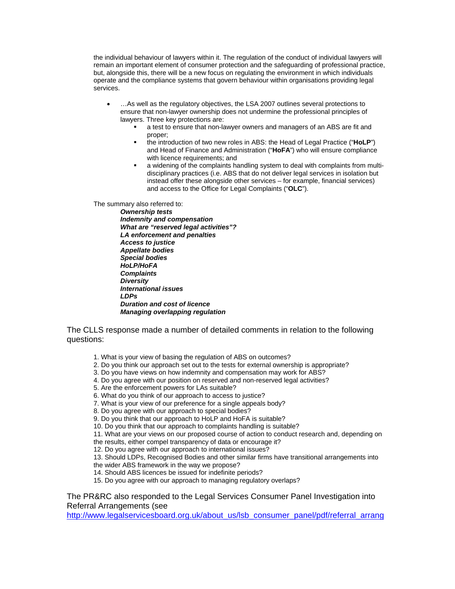the individual behaviour of lawyers within it. The regulation of the conduct of individual lawyers will remain an important element of consumer protection and the safeguarding of professional practice, but, alongside this, there will be a new focus on regulating the environment in which individuals operate and the compliance systems that govern behaviour within organisations providing legal services.

- …As well as the regulatory objectives, the LSA 2007 outlines several protections to ensure that non-lawyer ownership does not undermine the professional principles of lawyers. Three key protections are:
	- a test to ensure that non-lawyer owners and managers of an ABS are fit and proper;
	- the introduction of two new roles in ABS: the Head of Legal Practice ("**HoLP**") and Head of Finance and Administration ("**HoFA**") who will ensure compliance with licence requirements; and
	- a widening of the complaints handling system to deal with complaints from multidisciplinary practices (i.e. ABS that do not deliver legal services in isolation but instead offer these alongside other services – for example, financial services) and access to the Office for Legal Complaints ("**OLC**").

The summary also referred to:

*Ownership tests Indemnity and compensation What are "reserved legal activities"? LA enforcement and penalties Access to justice Appellate bodies Special bodies HoLP/HoFA Complaints Diversity International issues LDPs Duration and cost of licence Managing overlapping regulation* 

The CLLS response made a number of detailed comments in relation to the following questions:

- 1. What is your view of basing the regulation of ABS on outcomes?
- 2. Do you think our approach set out to the tests for external ownership is appropriate?
- 3. Do you have views on how indemnity and compensation may work for ABS?
- 4. Do you agree with our position on reserved and non-reserved legal activities?
- 5. Are the enforcement powers for LAs suitable?
- 6. What do you think of our approach to access to justice?
- 7. What is your view of our preference for a single appeals body?
- 8. Do you agree with our approach to special bodies?
- 9. Do you think that our approach to HoLP and HoFA is suitable?
- 10. Do you think that our approach to complaints handling is suitable?
- 11. What are your views on our proposed course of action to conduct research and, depending on
- the results, either compel transparency of data or encourage it?
- 12. Do you agree with our approach to international issues?
- 13. Should LDPs, Recognised Bodies and other similar firms have transitional arrangements into
- the wider ABS framework in the way we propose?
- 14. Should ABS licences be issued for indefinite periods?
- 15. Do you agree with our approach to managing regulatory overlaps?

## The PR&RC also responded to the Legal Services Consumer Panel Investigation into Referral Arrangements (see

[http://www.legalservicesboard.org.uk/about\\_us/lsb\\_consumer\\_panel/pdf/referral\\_arrang](http://www.legalservicesboard.org.uk/about_us/lsb_consumer_panel/pdf/referral_arrangements.pdf)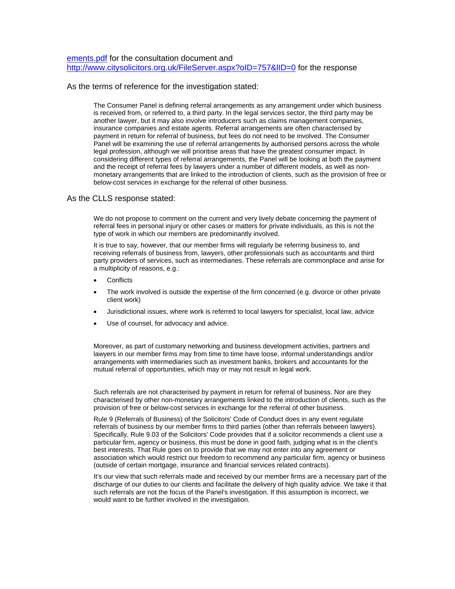[ements.pdf](http://www.legalservicesboard.org.uk/about_us/lsb_consumer_panel/pdf/referral_arrangements.pdf) for the consultation document and <http://www.citysolicitors.org.uk/FileServer.aspx?oID=757&lID=0> for the response

### As the terms of reference for the investigation stated:

The Consumer Panel is defining referral arrangements as any arrangement under which business is received from, or referred to, a third party. In the legal services sector, the third party may be another lawyer, but it may also involve introducers such as claims management companies, insurance companies and estate agents. Referral arrangements are often characterised by payment in return for referral of business, but fees do not need to be involved. The Consumer Panel will be examining the use of referral arrangements by authorised persons across the whole legal profession, although we will prioritise areas that have the greatest consumer impact. In considering different types of referral arrangements, the Panel will be looking at both the payment and the receipt of referral fees by lawyers under a number of different models, as well as nonmonetary arrangements that are linked to the introduction of clients, such as the provision of free or below-cost services in exchange for the referral of other business.

### As the CLLS response stated:

We do not propose to comment on the current and very lively debate concerning the payment of referral fees in personal injury or other cases or matters for private individuals, as this is not the type of work in which our members are predominantly involved.

It is true to say, however, that our member firms will regularly be referring business to, and receiving referrals of business from, lawyers, other professionals such as accountants and third party providers of services, such as intermediaries. These referrals are commonplace and arise for a multiplicity of reasons, e.g.:

- **Conflicts**
- The work involved is outside the expertise of the firm concerned (e.g. divorce or other private client work)
- Jurisdictional issues, where work is referred to local lawyers for specialist, local law, advice
- Use of counsel, for advocacy and advice.

Moreover, as part of customary networking and business development activities, partners and lawyers in our member firms may from time to time have loose, informal understandings and/or arrangements with intermediaries such as investment banks, brokers and accountants for the mutual referral of opportunities, which may or may not result in legal work.

Such referrals are not characterised by payment in return for referral of business. Nor are they characterised by other non-monetary arrangements linked to the introduction of clients, such as the provision of free or below-cost services in exchange for the referral of other business.

Rule 9 (Referrals of Business) of the Solicitors' Code of Conduct does in any event regulate referrals of business by our member firms to third parties (other than referrals between lawyers). Specifically, Rule 9.03 of the Solicitors' Code provides that if a solicitor recommends a client use a particular firm, agency or business, this must be done in good faith, judging what is in the client's best interests. That Rule goes on to provide that we may not enter into any agreement or association which would restrict our freedom to recommend any particular firm, agency or business (outside of certain mortgage, insurance and financial services related contracts).

It's our view that such referrals made and received by our member firms are a necessary part of the discharge of our duties to our clients and facilitate the delivery of high quality advice. We take it that such referrals are not the focus of the Panel's investigation. If this assumption is incorrect, we would want to be further involved in the investigation.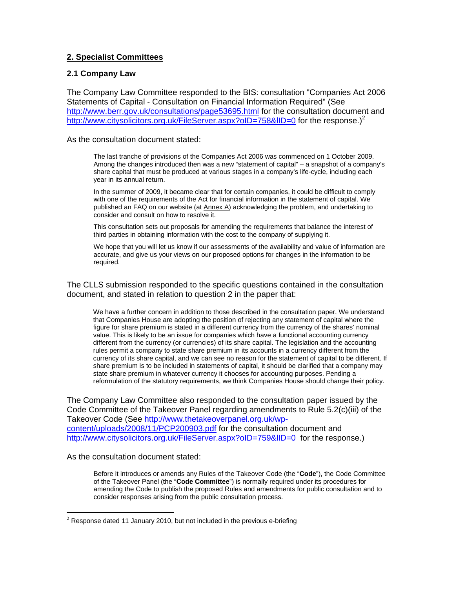# **2. Specialist Committees**

## **2.1 Company Law**

The Company Law Committee responded to the BIS: consultation "Companies Act 2006 Statements of Capital - Consultation on Financial Information Required" (See <http://www.berr.gov.uk/consultations/page53695.html>for the consultation document and http://www.citysolicitors.org.uk/FileServer.aspx?oID=758&IID=0 for the response.)<sup>[2](#page-4-0)</sup>

As the consultation document stated:

The last tranche of provisions of the Companies Act 2006 was commenced on 1 October 2009. Among the changes introduced then was a new "statement of capital" – a snapshot of a company's share capital that must be produced at various stages in a company's life-cycle, including each year in its annual return.

In the summer of 2009, it became clear that for certain companies, it could be difficult to comply with one of the requirements of the Act for financial information in the statement of capital. We published an FAQ on our website (at Annex A) acknowledging the problem, and undertaking to consider and consult on how to resolve it.

This consultation sets out proposals for amending the requirements that balance the interest of third parties in obtaining information with the cost to the company of supplying it.

We hope that you will let us know if our assessments of the availability and value of information are accurate, and give us your views on our proposed options for changes in the information to be required.

The CLLS submission responded to the specific questions contained in the consultation document, and stated in relation to question 2 in the paper that:

 We have a further concern in addition to those described in the consultation paper. We understand that Companies House are adopting the position of rejecting any statement of capital where the figure for share premium is stated in a different currency from the currency of the shares' nominal value. This is likely to be an issue for companies which have a functional accounting currency different from the currency (or currencies) of its share capital. The legislation and the accounting rules permit a company to state share premium in its accounts in a currency different from the currency of its share capital, and we can see no reason for the statement of capital to be different. If share premium is to be included in statements of capital, it should be clarified that a company may state share premium in whatever currency it chooses for accounting purposes. Pending a reformulation of the statutory requirements, we think Companies House should change their policy.

The Company Law Committee also responded to the consultation paper issued by the Code Committee of the Takeover Panel regarding amendments to Rule 5.2(c)(iii) of the Takeover Code (See [http://www.thetakeoverpanel.org.uk/wp](http://www.thetakeoverpanel.org.uk/wp-content/uploads/2008/11/PCP200903.pdf)[content/uploads/2008/11/PCP200903.pdf](http://www.thetakeoverpanel.org.uk/wp-content/uploads/2008/11/PCP200903.pdf) for the consultation document and http://www.citysolicitors.org.uk/FileServer.aspx?oID=759&IID=0 for the response.)

As the consultation document stated:

 $\overline{a}$ 

Before it introduces or amends any Rules of the Takeover Code (the "**Code**"), the Code Committee of the Takeover Panel (the "**Code Committee**") is normally required under its procedures for amending the Code to publish the proposed Rules and amendments for public consultation and to consider responses arising from the public consultation process.

<span id="page-4-0"></span> $2$  Response dated 11 January 2010, but not included in the previous e-briefing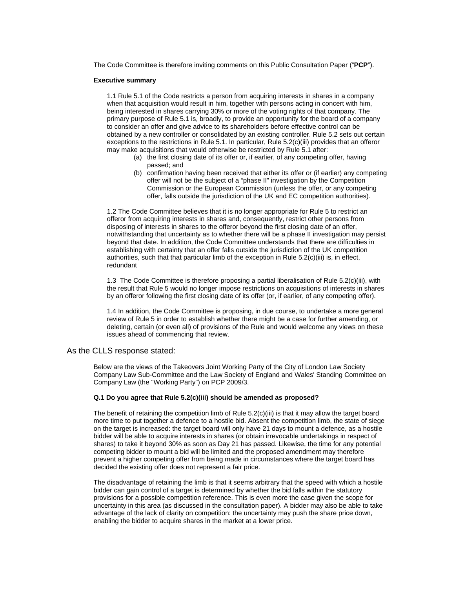The Code Committee is therefore inviting comments on this Public Consultation Paper ("**PCP**").

#### **Executive summary**

1.1 Rule 5.1 of the Code restricts a person from acquiring interests in shares in a company when that acquisition would result in him, together with persons acting in concert with him, being interested in shares carrying 30% or more of the voting rights of that company. The primary purpose of Rule 5.1 is, broadly, to provide an opportunity for the board of a company to consider an offer and give advice to its shareholders before effective control can be obtained by a new controller or consolidated by an existing controller. Rule 5.2 sets out certain exceptions to the restrictions in Rule 5.1. In particular, Rule 5.2(c)(iii) provides that an offeror may make acquisitions that would otherwise be restricted by Rule 5.1 after:

- (a) the first closing date of its offer or, if earlier, of any competing offer, having passed; and
- (b) confirmation having been received that either its offer or (if earlier) any competing offer will not be the subject of a "phase II" investigation by the Competition Commission or the European Commission (unless the offer, or any competing offer, falls outside the jurisdiction of the UK and EC competition authorities).

1.2 The Code Committee believes that it is no longer appropriate for Rule 5 to restrict an offeror from acquiring interests in shares and, consequently, restrict other persons from disposing of interests in shares to the offeror beyond the first closing date of an offer, notwithstanding that uncertainty as to whether there will be a phase II investigation may persist beyond that date. In addition, the Code Committee understands that there are difficulties in establishing with certainty that an offer falls outside the jurisdiction of the UK competition authorities, such that that particular limb of the exception in Rule 5.2(c)(iii) is, in effect, redundant

1.3 The Code Committee is therefore proposing a partial liberalisation of Rule 5.2(c)(iii), with the result that Rule 5 would no longer impose restrictions on acquisitions of interests in shares by an offeror following the first closing date of its offer (or, if earlier, of any competing offer).

1.4 In addition, the Code Committee is proposing, in due course, to undertake a more general review of Rule 5 in order to establish whether there might be a case for further amending, or deleting, certain (or even all) of provisions of the Rule and would welcome any views on these issues ahead of commencing that review.

### As the CLLS response stated:

Below are the views of the Takeovers Joint Working Party of the City of London Law Society Company Law Sub-Committee and the Law Society of England and Wales' Standing Committee on Company Law (the "Working Party") on PCP 2009/3.

#### **Q.1 Do you agree that Rule 5.2(c)(iii) should be amended as proposed?**

The benefit of retaining the competition limb of Rule 5.2(c)(iii) is that it may allow the target board more time to put together a defence to a hostile bid. Absent the competition limb, the state of siege on the target is increased: the target board will only have 21 days to mount a defence, as a hostile bidder will be able to acquire interests in shares (or obtain irrevocable undertakings in respect of shares) to take it beyond 30% as soon as Day 21 has passed. Likewise, the time for any potential competing bidder to mount a bid will be limited and the proposed amendment may therefore prevent a higher competing offer from being made in circumstances where the target board has decided the existing offer does not represent a fair price.

The disadvantage of retaining the limb is that it seems arbitrary that the speed with which a hostile bidder can gain control of a target is determined by whether the bid falls within the statutory provisions for a possible competition reference. This is even more the case given the scope for uncertainty in this area (as discussed in the consultation paper). A bidder may also be able to take advantage of the lack of clarity on competition: the uncertainty may push the share price down, enabling the bidder to acquire shares in the market at a lower price.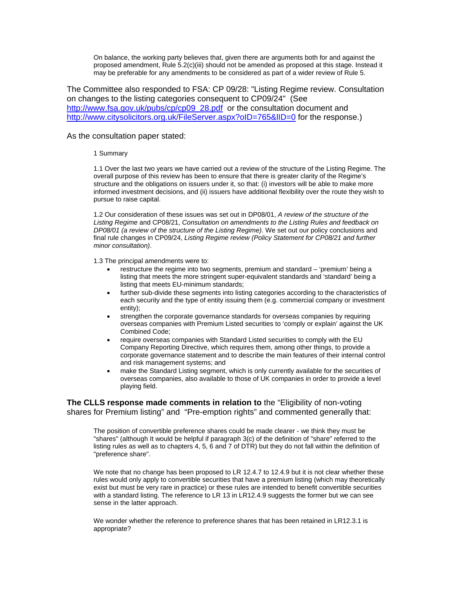On balance, the working party believes that, given there are arguments both for and against the proposed amendment, Rule 5.2(c)(iii) should not be amended as proposed at this stage. Instead it may be preferable for any amendments to be considered as part of a wider review of Rule 5.

The Committee also responded to FSA: CP 09/28: "Listing Regime review. Consultation on changes to the listing categories consequent to CP09/24" (See [http://www.fsa.gov.uk/pubs/cp/cp09\\_28.pdf](http://www.fsa.gov.uk/pubs/cp/cp09_28.pdf) or the consultation document and <http://www.citysolicitors.org.uk/FileServer.aspx?oID=765&lID=0> for the response.)

### As the consultation paper stated:

### 1 Summary

1.1 Over the last two years we have carried out a review of the structure of the Listing Regime. The overall purpose of this review has been to ensure that there is greater clarity of the Regime's structure and the obligations on issuers under it, so that: (i) investors will be able to make more informed investment decisions, and (ii) issuers have additional flexibility over the route they wish to pursue to raise capital.

1.2 Our consideration of these issues was set out in DP08/01, *A review of the structure of the Listing Regime* and CP08/21, *Consultation on amendments to the Listing Rules and feedback on DP08/01 (a review of the structure of the Listing Regime)*. We set out our policy conclusions and final rule changes in CP09/24, *Listing Regime review (Policy Statement for CP08/21 and further minor consultation)*.

1.3 The principal amendments were to:

- restructure the regime into two segments, premium and standard 'premium' being a listing that meets the more stringent super-equivalent standards and 'standard' being a listing that meets EU-minimum standards;
- further sub-divide these segments into listing categories according to the characteristics of each security and the type of entity issuing them (e.g. commercial company or investment entity);
- strengthen the corporate governance standards for overseas companies by requiring overseas companies with Premium Listed securities to 'comply or explain' against the UK Combined Code;
- require overseas companies with Standard Listed securities to comply with the EU Company Reporting Directive, which requires them, among other things, to provide a corporate governance statement and to describe the main features of their internal control and risk management systems; and
- make the Standard Listing segment, which is only currently available for the securities of overseas companies, also available to those of UK companies in order to provide a level playing field.

## **The CLLS response made comments in relation to** the "Eligibility of non-voting shares for Premium listing" and "Pre-emption rights" and commented generally that:

The position of convertible preference shares could be made clearer - we think they must be "shares" (although It would be helpful if paragraph 3(c) of the definition of "share" referred to the listing rules as well as to chapters 4, 5, 6 and 7 of DTR) but they do not fall within the definition of "preference share".

We note that no change has been proposed to LR 12.4.7 to 12.4.9 but it is not clear whether these rules would only apply to convertible securities that have a premium listing (which may theoretically exist but must be very rare in practice) or these rules are intended to benefit convertible securities with a standard listing. The reference to LR 13 in LR12.4.9 suggests the former but we can see sense in the latter approach.

We wonder whether the reference to preference shares that has been retained in LR12.3.1 is appropriate?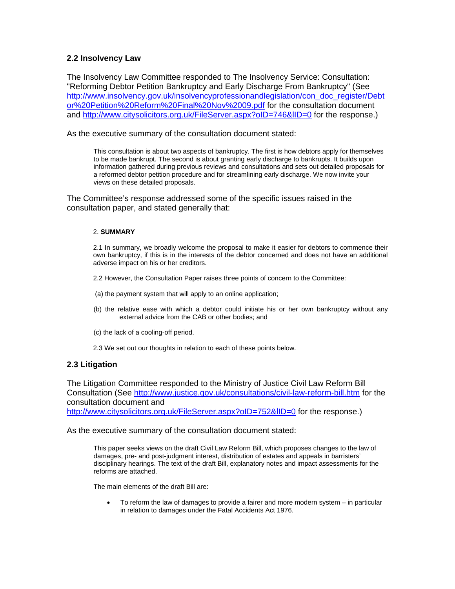# **2.2 Insolvency Law**

The Insolvency Law Committee responded to The Insolvency Service: Consultation: "Reforming Debtor Petition Bankruptcy and Early Discharge From Bankruptcy" (See [http://www.insolvency.gov.uk/insolvencyprofessionandlegislation/con\\_doc\\_register/Debt](http://www.insolvency.gov.uk/insolvencyprofessionandlegislation/con_doc_register/Debtor Petition Reform Final Nov 09.pdf) [or%20Petition%20Reform%20Final%20Nov%2009.pdf](http://www.insolvency.gov.uk/insolvencyprofessionandlegislation/con_doc_register/Debtor Petition Reform Final Nov 09.pdf) for the consultation document and http://www.citysolicitors.org.uk/FileServer.aspx?oID=746&IID=0 for the response.)

As the executive summary of the consultation document stated:

This consultation is about two aspects of bankruptcy. The first is how debtors apply for themselves to be made bankrupt. The second is about granting early discharge to bankrupts. It builds upon information gathered during previous reviews and consultations and sets out detailed proposals for a reformed debtor petition procedure and for streamlining early discharge. We now invite your views on these detailed proposals.

The Committee's response addressed some of the specific issues raised in the consultation paper, and stated generally that:

### 2. **SUMMARY**

 2.1 In summary, we broadly welcome the proposal to make it easier for debtors to commence their own bankruptcy, if this is in the interests of the debtor concerned and does not have an additional adverse impact on his or her creditors.

- 2.2 However, the Consultation Paper raises three points of concern to the Committee:
- (a) the payment system that will apply to an online application;
- (b) the relative ease with which a debtor could initiate his or her own bankruptcy without any external advice from the CAB or other bodies; and
- (c) the lack of a cooling-off period.
- 2.3 We set out our thoughts in relation to each of these points below.

## **2.3 Litigation**

The Litigation Committee responded to the Ministry of Justice Civil Law Reform Bill Consultation (See <http://www.justice.gov.uk/consultations/civil-law-reform-bill.htm> for the consultation document and

<http://www.citysolicitors.org.uk/FileServer.aspx?oID=752&lID=0> for the response.)

As the executive summary of the consultation document stated:

This paper seeks views on the draft Civil Law Reform Bill, which proposes changes to the law of damages, pre- and post-judgment interest, distribution of estates and appeals in barristers' disciplinary hearings. The text of the draft Bill, explanatory notes and impact assessments for the reforms are attached.

The main elements of the draft Bill are:

• To reform the law of damages to provide a fairer and more modern system – in particular in relation to damages under the Fatal Accidents Act 1976.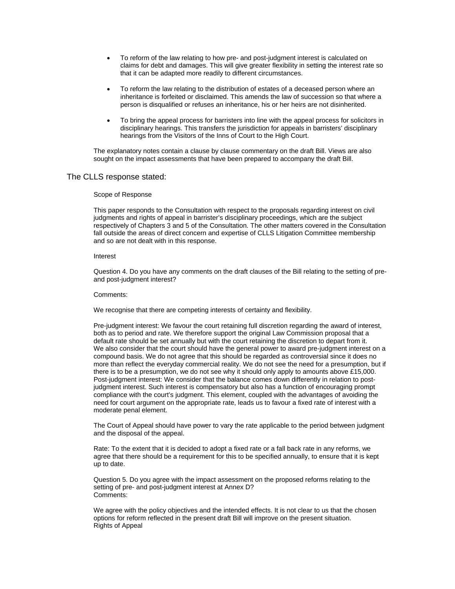- To reform of the law relating to how pre- and post-judgment interest is calculated on claims for debt and damages. This will give greater flexibility in setting the interest rate so that it can be adapted more readily to different circumstances.
- To reform the law relating to the distribution of estates of a deceased person where an inheritance is forfeited or disclaimed. This amends the law of succession so that where a person is disqualified or refuses an inheritance, his or her heirs are not disinherited.
- To bring the appeal process for barristers into line with the appeal process for solicitors in disciplinary hearings. This transfers the jurisdiction for appeals in barristers' disciplinary hearings from the Visitors of the Inns of Court to the High Court.

The explanatory notes contain a clause by clause commentary on the draft Bill. Views are also sought on the impact assessments that have been prepared to accompany the draft Bill.

### The CLLS response stated:

### Scope of Response

This paper responds to the Consultation with respect to the proposals regarding interest on civil judgments and rights of appeal in barrister's disciplinary proceedings, which are the subject respectively of Chapters 3 and 5 of the Consultation. The other matters covered in the Consultation fall outside the areas of direct concern and expertise of CLLS Litigation Committee membership and so are not dealt with in this response.

#### Interest

Question 4. Do you have any comments on the draft clauses of the Bill relating to the setting of preand post-judgment interest?

#### Comments:

We recognise that there are competing interests of certainty and flexibility.

Pre-judgment interest: We favour the court retaining full discretion regarding the award of interest, both as to period and rate. We therefore support the original Law Commission proposal that a default rate should be set annually but with the court retaining the discretion to depart from it. We also consider that the court should have the general power to award pre-judgment interest on a compound basis. We do not agree that this should be regarded as controversial since it does no more than reflect the everyday commercial reality. We do not see the need for a presumption, but if there is to be a presumption, we do not see why it should only apply to amounts above £15,000. Post-judgment interest: We consider that the balance comes down differently in relation to postjudgment interest. Such interest is compensatory but also has a function of encouraging prompt compliance with the court's judgment. This element, coupled with the advantages of avoiding the need for court argument on the appropriate rate, leads us to favour a fixed rate of interest with a moderate penal element.

The Court of Appeal should have power to vary the rate applicable to the period between judgment and the disposal of the appeal.

Rate: To the extent that it is decided to adopt a fixed rate or a fall back rate in any reforms, we agree that there should be a requirement for this to be specified annually, to ensure that it is kept up to date.

Question 5. Do you agree with the impact assessment on the proposed reforms relating to the setting of pre- and post-judgment interest at Annex D? Comments:

We agree with the policy objectives and the intended effects. It is not clear to us that the chosen options for reform reflected in the present draft Bill will improve on the present situation. Rights of Appeal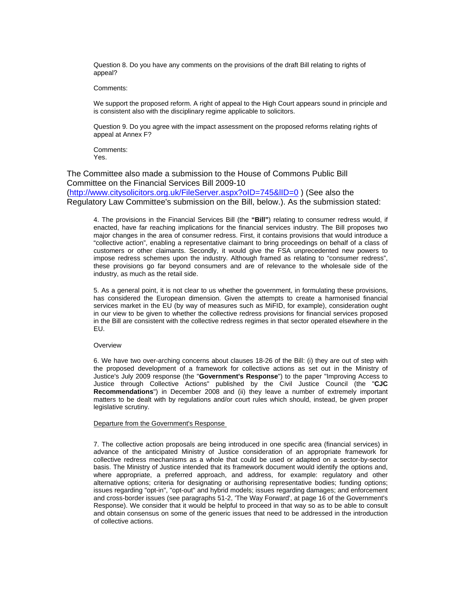Question 8. Do you have any comments on the provisions of the draft Bill relating to rights of appeal?

Comments:

We support the proposed reform. A right of appeal to the High Court appears sound in principle and is consistent also with the disciplinary regime applicable to solicitors.

Question 9. Do you agree with the impact assessment on the proposed reforms relating rights of appeal at Annex F?

Comments: Yes.

The Committee also made a submission to the House of Commons Public Bill Committee on the Financial Services Bill 2009-10 (<http://www.citysolicitors.org.uk/FileServer.aspx?oID=745&lID=0>) (See also the Regulatory Law Committee's submission on the Bill, below.). As the submission stated:

 4. The provisions in the Financial Services Bill (the **"Bill"**) relating to consumer redress would, if enacted, have far reaching implications for the financial services industry. The Bill proposes two major changes in the area of consumer redress. First, it contains provisions that would introduce a "collective action", enabling a representative claimant to bring proceedings on behalf of a class of customers or other claimants. Secondly, it would give the FSA unprecedented new powers to impose redress schemes upon the industry. Although framed as relating to "consumer redress", these provisions go far beyond consumers and are of relevance to the wholesale side of the industry, as much as the retail side.

 5. As a general point, it is not clear to us whether the government, in formulating these provisions, has considered the European dimension. Given the attempts to create a harmonised financial services market in the EU (by way of measures such as MiFID, for example), consideration ought in our view to be given to whether the collective redress provisions for financial services proposed in the Bill are consistent with the collective redress regimes in that sector operated elsewhere in the EU.

#### **Overview**

 6. We have two over-arching concerns about clauses 18-26 of the Bill: (i) they are out of step with the proposed development of a framework for collective actions as set out in the Ministry of Justice's July 2009 response (the "**Government's Response**") to the paper "Improving Access to Justice through Collective Actions" published by the Civil Justice Council (the "**CJC Recommendations**") in December 2008 and (ii) they leave a number of extremely important matters to be dealt with by regulations and/or court rules which should, instead, be given proper legislative scrutiny.

#### Departure from the Government's Response

 7. The collective action proposals are being introduced in one specific area (financial services) in advance of the anticipated Ministry of Justice consideration of an appropriate framework for collective redress mechanisms as a whole that could be used or adapted on a sector-by-sector basis. The Ministry of Justice intended that its framework document would identify the options and, where appropriate, a preferred approach, and address, for example: regulatory and other alternative options; criteria for designating or authorising representative bodies; funding options; issues regarding "opt-in", "opt-out" and hybrid models; issues regarding damages; and enforcement and cross-border issues (see paragraphs 51-2, 'The Way Forward', at page 16 of the Government's Response). We consider that it would be helpful to proceed in that way so as to be able to consult and obtain consensus on some of the generic issues that need to be addressed in the introduction of collective actions.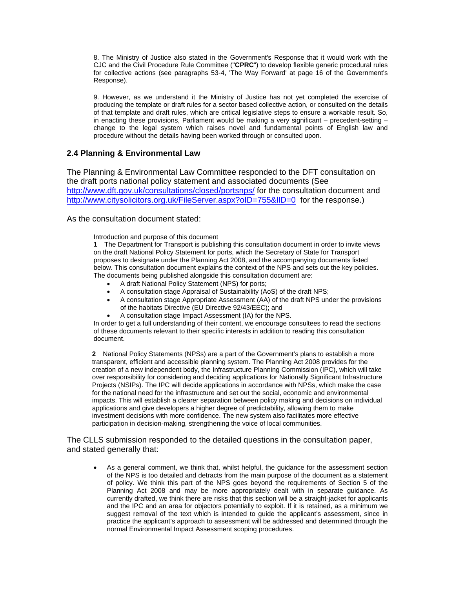8. The Ministry of Justice also stated in the Government's Response that it would work with the CJC and the Civil Procedure Rule Committee ("**CPRC**") to develop flexible generic procedural rules for collective actions (see paragraphs 53-4, 'The Way Forward' at page 16 of the Government's Response).

 9. However, as we understand it the Ministry of Justice has not yet completed the exercise of producing the template or draft rules for a sector based collective action, or consulted on the details of that template and draft rules, which are critical legislative steps to ensure a workable result. So, in enacting these provisions, Parliament would be making a very significant – precedent-setting – change to the legal system which raises novel and fundamental points of English law and procedure without the details having been worked through or consulted upon.

# **2.4 Planning & Environmental Law**

The Planning & Environmental Law Committee responded to the DFT consultation on the draft ports national policy statement and associated documents (See <http://www.dft.gov.uk/consultations/closed/portsnps/>for the consultation document and http://www.citysolicitors.org.uk/FileServer.aspx?oID=755&IID=0 for the response.)

As the consultation document stated:

Introduction and purpose of this document

**1** The Department for Transport is publishing this consultation document in order to invite views on the draft National Policy Statement for ports, which the Secretary of State for Transport proposes to designate under the Planning Act 2008, and the accompanying documents listed below. This consultation document explains the context of the NPS and sets out the key policies. The documents being published alongside this consultation document are:

- A draft National Policy Statement (NPS) for ports;
- A consultation stage Appraisal of Sustainability (AoS) of the draft NPS;
- A consultation stage Appropriate Assessment (AA) of the draft NPS under the provisions of the habitats Directive (EU Directive 92/43/EEC); and
	- A consultation stage Impact Assessment (IA) for the NPS.

In order to get a full understanding of their content, we encourage consultees to read the sections of these documents relevant to their specific interests in addition to reading this consultation document.

**2** National Policy Statements (NPSs) are a part of the Government's plans to establish a more transparent, efficient and accessible planning system. The Planning Act 2008 provides for the creation of a new independent body, the Infrastructure Planning Commission (IPC), which will take over responsibility for considering and deciding applications for Nationally Significant Infrastructure Projects (NSIPs). The IPC will decide applications in accordance with NPSs, which make the case for the national need for the infrastructure and set out the social, economic and environmental impacts. This will establish a clearer separation between policy making and decisions on individual applications and give developers a higher degree of predictability, allowing them to make investment decisions with more confidence. The new system also facilitates more effective participation in decision-making, strengthening the voice of local communities.

The CLLS submission responded to the detailed questions in the consultation paper, and stated generally that:

• As a general comment, we think that, whilst helpful, the guidance for the assessment section of the NPS is too detailed and detracts from the main purpose of the document as a statement of policy. We think this part of the NPS goes beyond the requirements of Section 5 of the Planning Act 2008 and may be more appropriately dealt with in separate guidance. As currently drafted, we think there are risks that this section will be a straight-jacket for applicants and the IPC and an area for objectors potentially to exploit. If it is retained, as a minimum we suggest removal of the text which is intended to guide the applicant's assessment, since in practice the applicant's approach to assessment will be addressed and determined through the normal Environmental Impact Assessment scoping procedures.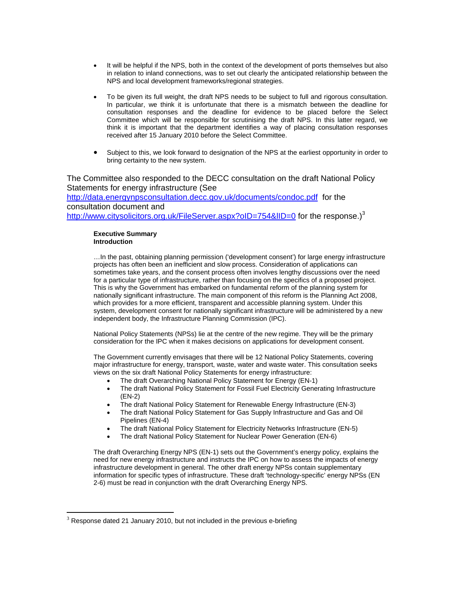- It will be helpful if the NPS, both in the context of the development of ports themselves but also in relation to inland connections, was to set out clearly the anticipated relationship between the NPS and local development frameworks/regional strategies.
- To be given its full weight, the draft NPS needs to be subject to full and rigorous consultation. In particular, we think it is unfortunate that there is a mismatch between the deadline for consultation responses and the deadline for evidence to be placed before the Select Committee which will be responsible for scrutinising the draft NPS. In this latter regard, we think it is important that the department identifies a way of placing consultation responses received after 15 January 2010 before the Select Committee.
- Subject to this, we look forward to designation of the NPS at the earliest opportunity in order to bring certainty to the new system.

The Committee also responded to the DECC consultation on the draft National Policy Statements for energy infrastructure (See <http://data.energynpsconsultation.decc.gov.uk/documents/condoc.pdf>for the consultation document and <http://www.citysolicitors.org.uk/FileServer.aspx?oID=754&lID=0> for the response.)<sup>[3](#page-11-0)</sup>

#### **Executive Summary Introduction**

 $\overline{a}$ 

…In the past, obtaining planning permission ('development consent') for large energy infrastructure projects has often been an inefficient and slow process. Consideration of applications can sometimes take years, and the consent process often involves lengthy discussions over the need for a particular type of infrastructure, rather than focusing on the specifics of a proposed project. This is why the Government has embarked on fundamental reform of the planning system for nationally significant infrastructure. The main component of this reform is the Planning Act 2008, which provides for a more efficient, transparent and accessible planning system. Under this system, development consent for nationally significant infrastructure will be administered by a new independent body, the Infrastructure Planning Commission (IPC).

National Policy Statements (NPSs) lie at the centre of the new regime. They will be the primary consideration for the IPC when it makes decisions on applications for development consent.

The Government currently envisages that there will be 12 National Policy Statements, covering major infrastructure for energy, transport, waste, water and waste water. This consultation seeks views on the six draft National Policy Statements for energy infrastructure:

- The draft Overarching National Policy Statement for Energy (EN-1)
- The draft National Policy Statement for Fossil Fuel Electricity Generating Infrastructure (EN-2)
- The draft National Policy Statement for Renewable Energy Infrastructure (EN-3)
- The draft National Policy Statement for Gas Supply Infrastructure and Gas and Oil Pipelines (EN-4)
- The draft National Policy Statement for Electricity Networks Infrastructure (EN-5)
- The draft National Policy Statement for Nuclear Power Generation (EN-6)

The draft Overarching Energy NPS (EN-1) sets out the Government's energy policy, explains the need for new energy infrastructure and instructs the IPC on how to assess the impacts of energy infrastructure development in general. The other draft energy NPSs contain supplementary information for specific types of infrastructure. These draft 'technology-specific' energy NPSs (EN 2-6) must be read in conjunction with the draft Overarching Energy NPS.

<span id="page-11-0"></span> $3$  Response dated 21 January 2010, but not included in the previous e-briefing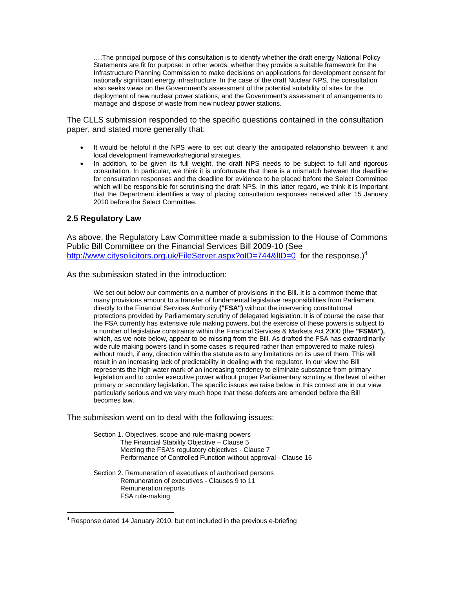….The principal purpose of this consultation is to identify whether the draft energy National Policy Statements are fit for purpose: in other words, whether they provide a suitable framework for the Infrastructure Planning Commission to make decisions on applications for development consent for nationally significant energy infrastructure. In the case of the draft Nuclear NPS, the consultation also seeks views on the Government's assessment of the potential suitability of sites for the deployment of new nuclear power stations, and the Government's assessment of arrangements to manage and dispose of waste from new nuclear power stations.

The CLLS submission responded to the specific questions contained in the consultation paper, and stated more generally that:

- It would be helpful if the NPS were to set out clearly the anticipated relationship between it and local development frameworks/regional strategies.
- In addition, to be given its full weight, the draft NPS needs to be subject to full and rigorous consultation. In particular, we think it is unfortunate that there is a mismatch between the deadline for consultation responses and the deadline for evidence to be placed before the Select Committee which will be responsible for scrutinising the draft NPS. In this latter regard, we think it is important that the Department identifies a way of placing consultation responses received after 15 January 2010 before the Select Committee.

## **2.5 Regulatory Law**

 $\overline{a}$ 

As above, the Regulatory Law Committee made a submission to the House of Commons Public Bill Committee on the Financial Services Bill 2009-10 (See <http://www.citysolicitors.org.uk/FileServer.aspx?oID=744&lID=0> for the response.)<sup>[4](#page-12-0)</sup>

As the submission stated in the introduction:

We set out below our comments on a number of provisions in the Bill. It is a common theme that many provisions amount to a transfer of fundamental legislative responsibilities from Parliament directly to the Financial Services Authority **("FSA")** without the intervening constitutional protections provided by Parliamentary scrutiny of delegated legislation. It is of course the case that the FSA currently has extensive rule making powers, but the exercise of these powers is subject to a number of legislative constraints within the Financial Services & Markets Act 2000 (the **"FSMA"),**  which, as we note below, appear to be missing from the Bill. As drafted the FSA has extraordinarily wide rule making powers (and in some cases is required rather than empowered to make rules) without much, if any, direction within the statute as to any limitations on its use of them. This will result in an increasing lack of predictability in dealing with the regulator. In our view the Bill represents the high water mark of an increasing tendency to eliminate substance from primary legislation and to confer executive power without proper Parliamentary scrutiny at the level of either primary or secondary legislation. The specific issues we raise below in this context are in our view particularly serious and we very much hope that these defects are amended before the Bill becomes law.

The submission went on to deal with the following issues:

Section 1. Objectives, scope and rule-making powers The Financial Stability Objective – Clause 5 Meeting the FSA's regulatory objectives - Clause 7 Performance of Controlled Function without approval - Clause 16

Section 2. Remuneration of executives of authorised persons Remuneration of executives - Clauses 9 to 11 Remuneration reports FSA rule-making

<span id="page-12-0"></span> $4$  Response dated 14 January 2010, but not included in the previous e-briefing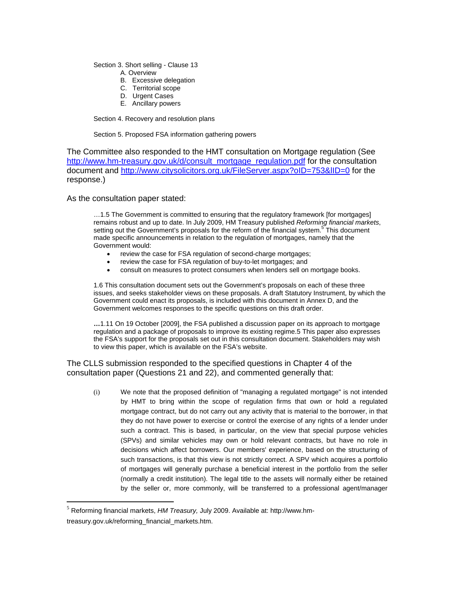Section 3. Short selling - Clause 13

- A. Overview
- B. Excessive delegation
- C. Territorial scope
- D. Urgent Cases
- E. Ancillary powers

Section 4. Recovery and resolution plans

Section 5. Proposed FSA information gathering powers

The Committee also responded to the HMT consultation on Mortgage regulation (See [http://www.hm-treasury.gov.uk/d/consult\\_mortgage\\_regulation.pdf](http://www.hm-treasury.gov.uk/d/consult_mortgage_regulation.pdf) for the consultation document and <http://www.citysolicitors.org.uk/FileServer.aspx?oID=753&lID=0>for the response.)

As the consultation paper stated:

 $\overline{\phantom{a}}$ 

…1.5 The Government is committed to ensuring that the regulatory framework [for mortgages] remains robust and up to date. In July 2009, HM Treasury published *Reforming financial markets*, setting out the Government's proposals for the reform of the financial system.<sup>5</sup> [T](#page-13-0)his document made specific announcements in relation to the regulation of mortgages, namely that the Government would:

- review the case for FSA regulation of second-charge mortgages;
- review the case for FSA regulation of buy-to-let mortgages; and
- consult on measures to protect consumers when lenders sell on mortgage books.

1.6 This consultation document sets out the Government's proposals on each of these three issues, and seeks stakeholder views on these proposals. A draft Statutory Instrument, by which the Government could enact its proposals, is included with this document in Annex D, and the Government welcomes responses to the specific questions on this draft order.

**…**1.11 On 19 October [2009], the FSA published a discussion paper on its approach to mortgage regulation and a package of proposals to improve its existing regime.5 This paper also expresses the FSA's support for the proposals set out in this consultation document. Stakeholders may wish to view this paper, which is available on the FSA's website.

The CLLS submission responded to the specified questions in Chapter 4 of the consultation paper (Questions 21 and 22), and commented generally that:

(i) We note that the proposed definition of "managing a regulated mortgage" is not intended by HMT to bring within the scope of regulation firms that own or hold a regulated mortgage contract, but do not carry out any activity that is material to the borrower, in that they do not have power to exercise or control the exercise of any rights of a lender under such a contract. This is based, in particular, on the view that special purpose vehicles (SPVs) and similar vehicles may own or hold relevant contracts, but have no role in decisions which affect borrowers. Our members' experience, based on the structuring of such transactions, is that this view is not strictly correct. A SPV which acquires a portfolio of mortgages will generally purchase a beneficial interest in the portfolio from the seller (normally a credit institution). The legal title to the assets will normally either be retained by the seller or, more commonly, will be transferred to a professional agent/manager

<span id="page-13-0"></span><sup>5</sup> Reforming financial markets, *HM Treasury,* July 2009. Available at: http://www.hmtreasury.gov.uk/reforming\_financial\_markets.htm.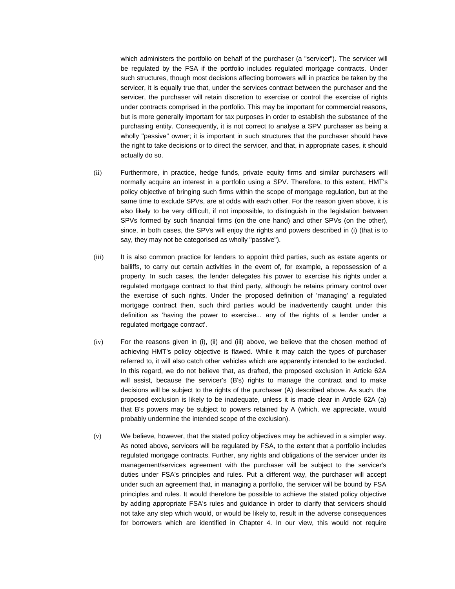which administers the portfolio on behalf of the purchaser (a "servicer"). The servicer will be regulated by the FSA if the portfolio includes regulated mortgage contracts. Under such structures, though most decisions affecting borrowers will in practice be taken by the servicer, it is equally true that, under the services contract between the purchaser and the servicer, the purchaser will retain discretion to exercise or control the exercise of rights under contracts comprised in the portfolio. This may be important for commercial reasons, but is more generally important for tax purposes in order to establish the substance of the purchasing entity. Consequently, it is not correct to analyse a SPV purchaser as being a wholly "passive" owner; it is important in such structures that the purchaser should have the right to take decisions or to direct the servicer, and that, in appropriate cases, it should actually do so.

- (ii) Furthermore, in practice, hedge funds, private equity firms and similar purchasers will normally acquire an interest in a portfolio using a SPV. Therefore, to this extent, HMT's policy objective of bringing such firms within the scope of mortgage regulation, but at the same time to exclude SPVs, are at odds with each other. For the reason given above, it is also likely to be very difficult, if not impossible, to distinguish in the legislation between SPVs formed by such financial firms (on the one hand) and other SPVs (on the other), since, in both cases, the SPVs will enjoy the rights and powers described in (i) (that is to say, they may not be categorised as wholly "passive").
- (iii) It is also common practice for lenders to appoint third parties, such as estate agents or bailiffs, to carry out certain activities in the event of, for example, a repossession of a property. In such cases, the lender delegates his power to exercise his rights under a regulated mortgage contract to that third party, although he retains primary control over the exercise of such rights. Under the proposed definition of 'managing' a regulated mortgage contract then, such third parties would be inadvertently caught under this definition as 'having the power to exercise... any of the rights of a lender under a regulated mortgage contract'.
- (iv) For the reasons given in (i), (ii) and (iii) above, we believe that the chosen method of achieving HMT's policy objective is flawed. While it may catch the types of purchaser referred to, it will also catch other vehicles which are apparently intended to be excluded. In this regard, we do not believe that, as drafted, the proposed exclusion in Article 62A will assist, because the servicer's (B's) rights to manage the contract and to make decisions will be subject to the rights of the purchaser (A) described above. As such, the proposed exclusion is likely to be inadequate, unless it is made clear in Article 62A (a) that B's powers may be subject to powers retained by A (which, we appreciate, would probably undermine the intended scope of the exclusion).
- (v) We believe, however, that the stated policy objectives may be achieved in a simpler way. As noted above, servicers will be regulated by FSA, to the extent that a portfolio includes regulated mortgage contracts. Further, any rights and obligations of the servicer under its management/services agreement with the purchaser will be subject to the servicer's duties under FSA's principles and rules. Put a different way, the purchaser will accept under such an agreement that, in managing a portfolio, the servicer will be bound by FSA principles and rules. It would therefore be possible to achieve the stated policy objective by adding appropriate FSA's rules and guidance in order to clarify that servicers should not take any step which would, or would be likely to, result in the adverse consequences for borrowers which are identified in Chapter 4. In our view, this would not require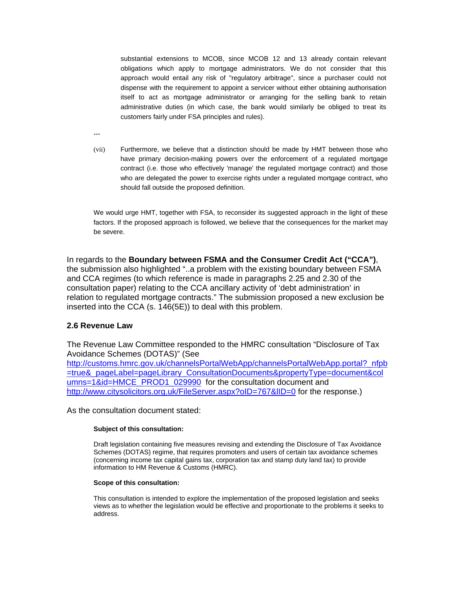substantial extensions to MCOB, since MCOB 12 and 13 already contain relevant obligations which apply to mortgage administrators. We do not consider that this approach would entail any risk of "regulatory arbitrage", since a purchaser could not dispense with the requirement to appoint a servicer without either obtaining authorisation itself to act as mortgage administrator or arranging for the selling bank to retain administrative duties (in which case, the bank would similarly be obliged to treat its customers fairly under FSA principles and rules).

**…** 

(vii) Furthermore, we believe that a distinction should be made by HMT between those who have primary decision-making powers over the enforcement of a regulated mortgage contract (i.e. those who effectively 'manage' the regulated mortgage contract) and those who are delegated the power to exercise rights under a regulated mortgage contract, who should fall outside the proposed definition.

We would urge HMT, together with FSA, to reconsider its suggested approach in the light of these factors. If the proposed approach is followed, we believe that the consequences for the market may be severe.

In regards to the **Boundary between FSMA and the Consumer Credit Act ("CCA")**, the submission also highlighted "..a problem with the existing boundary between FSMA and CCA regimes (to which reference is made in paragraphs 2.25 and 2.30 of the consultation paper) relating to the CCA ancillary activity of 'debt administration' in relation to regulated mortgage contracts." The submission proposed a new exclusion be inserted into the CCA (s. 146(5E)) to deal with this problem.

# **2.6 Revenue Law**

The Revenue Law Committee responded to the HMRC consultation "Disclosure of Tax Avoidance Schemes (DOTAS)" (See [http://customs.hmrc.gov.uk/channelsPortalWebApp/channelsPortalWebApp.portal?\\_nfpb](http://customs.hmrc.gov.uk/channelsPortalWebApp/channelsPortalWebApp.portal?_nfpb=true&_pageLabel=pageLibrary_ConsultationDocuments&propertyType=document&columns=1&id=HMCE_PROD1_029990) [=true&\\_pageLabel=pageLibrary\\_ConsultationDocuments&propertyType=document&col](http://customs.hmrc.gov.uk/channelsPortalWebApp/channelsPortalWebApp.portal?_nfpb=true&_pageLabel=pageLibrary_ConsultationDocuments&propertyType=document&columns=1&id=HMCE_PROD1_029990) [umns=1&id=HMCE\\_PROD1\\_029990](http://customs.hmrc.gov.uk/channelsPortalWebApp/channelsPortalWebApp.portal?_nfpb=true&_pageLabel=pageLibrary_ConsultationDocuments&propertyType=document&columns=1&id=HMCE_PROD1_029990) for the consultation document and <http://www.citysolicitors.org.uk/FileServer.aspx?oID=767&lID=0> for the response.)

As the consultation document stated:

## **Subject of this consultation:**

Draft legislation containing five measures revising and extending the Disclosure of Tax Avoidance Schemes (DOTAS) regime, that requires promoters and users of certain tax avoidance schemes (concerning income tax capital gains tax, corporation tax and stamp duty land tax) to provide information to HM Revenue & Customs (HMRC).

## **Scope of this consultation:**

This consultation is intended to explore the implementation of the proposed legislation and seeks views as to whether the legislation would be effective and proportionate to the problems it seeks to address.